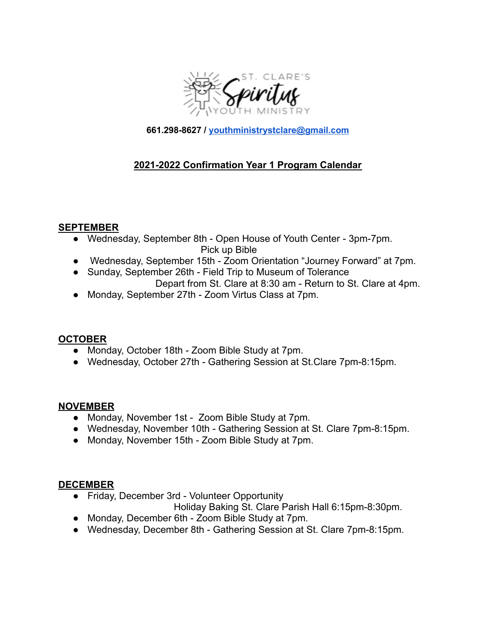

**661.298-8627 / [youthministrystclare@gmail.com](mailto:youthministrystclare@gmail.com)**

# **2021-2022 Confirmation Year 1 Program Calendar**

#### **SEPTEMBER**

● Wednesday, September 8th - Open House of Youth Center - 3pm-7pm.

Pick up Bible

- Wednesday, September 15th Zoom Orientation "Journey Forward" at 7pm.
- Sunday, September 26th Field Trip to Museum of Tolerance Depart from St. Clare at 8:30 am - Return to St. Clare at 4pm.
- Monday, September 27th Zoom Virtus Class at 7pm.

### **OCTOBER**

- Monday, October 18th Zoom Bible Study at 7pm.
- Wednesday, October 27th Gathering Session at St.Clare 7pm-8:15pm.

### **NOVEMBER**

- Monday, November 1st Zoom Bible Study at 7pm.
- Wednesday, November 10th Gathering Session at St. Clare 7pm-8:15pm.
- Monday, November 15th Zoom Bible Study at 7pm.

### **DECEMBER**

- Friday, December 3rd Volunteer Opportunity
	- Holiday Baking St. Clare Parish Hall 6:15pm-8:30pm.
- Monday, December 6th Zoom Bible Study at 7pm.
- Wednesday, December 8th Gathering Session at St. Clare 7pm-8:15pm.